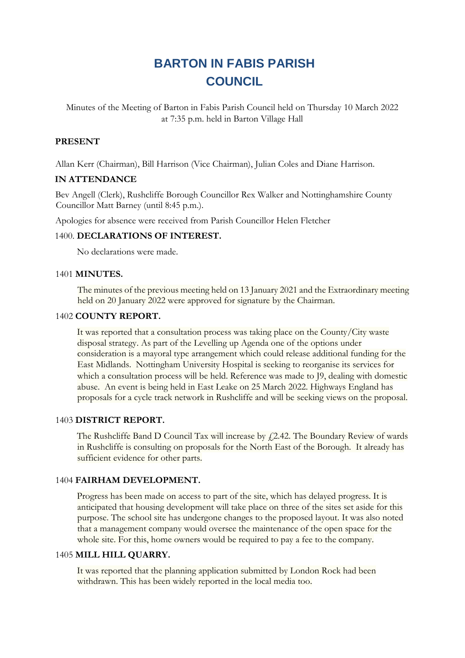# **BARTON IN FABIS PARISH COUNCIL**

Minutes of the Meeting of Barton in Fabis Parish Council held on Thursday 10 March 2022 at 7:35 p.m. held in Barton Village Hall

# **PRESENT**

Allan Kerr (Chairman), Bill Harrison (Vice Chairman), Julian Coles and Diane Harrison.

# **IN ATTENDANCE**

Bev Angell (Clerk), Rushcliffe Borough Councillor Rex Walker and Nottinghamshire County Councillor Matt Barney (until 8:45 p.m.).

Apologies for absence were received from Parish Councillor Helen Fletcher

## 1400. **DECLARATIONS OF INTEREST.**

No declarations were made.

#### 1401 **MINUTES.**

The minutes of the previous meeting held on 13 January 2021 and the Extraordinary meeting held on 20 January 2022 were approved for signature by the Chairman.

#### 1402 **COUNTY REPORT.**

It was reported that a consultation process was taking place on the County/City waste disposal strategy. As part of the Levelling up Agenda one of the options under consideration is a mayoral type arrangement which could release additional funding for the East Midlands. Nottingham University Hospital is seeking to reorganise its services for which a consultation process will be held. Reference was made to J9, dealing with domestic abuse. An event is being held in East Leake on 25 March 2022. Highways England has proposals for a cycle track network in Rushcliffe and will be seeking views on the proposal.

## 1403 **DISTRICT REPORT.**

The Rushcliffe Band D Council Tax will increase by  $f(2.42)$ . The Boundary Review of wards in Rushcliffe is consulting on proposals for the North East of the Borough. It already has sufficient evidence for other parts.

## 1404 **FAIRHAM DEVELOPMENT.**

Progress has been made on access to part of the site, which has delayed progress. It is anticipated that housing development will take place on three of the sites set aside for this purpose. The school site has undergone changes to the proposed layout. It was also noted that a management company would oversee the maintenance of the open space for the whole site. For this, home owners would be required to pay a fee to the company.

## 1405 **MILL HILL QUARRY.**

It was reported that the planning application submitted by London Rock had been withdrawn. This has been widely reported in the local media too.